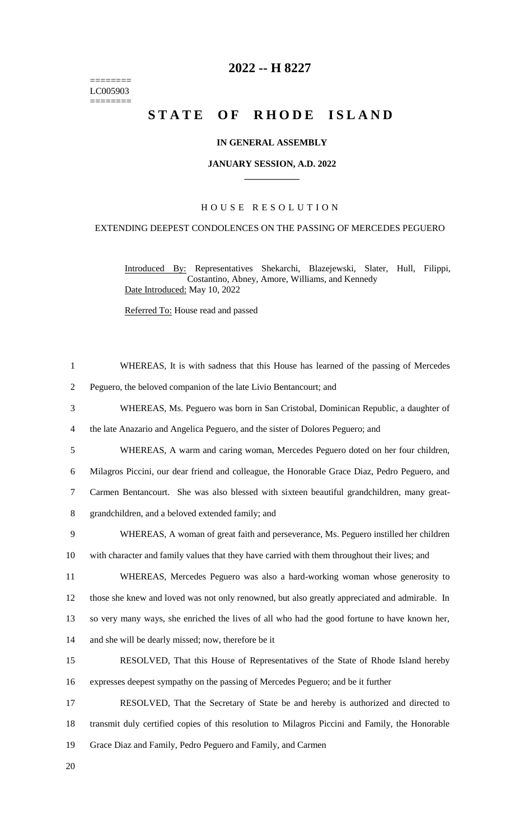======== LC005903  $=$ 

# **2022 -- H 8227**

# STATE OF RHODE ISLAND

## **IN GENERAL ASSEMBLY**

#### **JANUARY SESSION, A.D. 2022 \_\_\_\_\_\_\_\_\_\_\_\_**

# H O U S E R E S O L U T I O N

## EXTENDING DEEPEST CONDOLENCES ON THE PASSING OF MERCEDES PEGUERO

Introduced By: Representatives Shekarchi, Blazejewski, Slater, Hull, Filippi, Costantino, Abney, Amore, Williams, and Kennedy Date Introduced: May 10, 2022

Referred To: House read and passed

| $\mathbf{1}$   | WHEREAS, It is with sadness that this House has learned of the passing of Mercedes              |
|----------------|-------------------------------------------------------------------------------------------------|
| $\overline{2}$ | Peguero, the beloved companion of the late Livio Bentancourt; and                               |
| 3              | WHEREAS, Ms. Peguero was born in San Cristobal, Dominican Republic, a daughter of               |
| $\overline{4}$ | the late Anazario and Angelica Peguero, and the sister of Dolores Peguero; and                  |
| 5              | WHEREAS, A warm and caring woman, Mercedes Peguero doted on her four children,                  |
| 6              | Milagros Piccini, our dear friend and colleague, the Honorable Grace Diaz, Pedro Peguero, and   |
| $\tau$         | Carmen Bentancourt. She was also blessed with sixteen beautiful grandchildren, many great-      |
| 8              | grandchildren, and a beloved extended family; and                                               |
| 9              | WHEREAS, A woman of great faith and perseverance, Ms. Peguero instilled her children            |
| 10             | with character and family values that they have carried with them throughout their lives; and   |
| 11             | WHEREAS, Mercedes Peguero was also a hard-working woman whose generosity to                     |
| 12             | those she knew and loved was not only renowned, but also greatly appreciated and admirable. In  |
| 13             | so very many ways, she enriched the lives of all who had the good fortune to have known her,    |
| 14             | and she will be dearly missed; now, therefore be it                                             |
| 15             | RESOLVED, That this House of Representatives of the State of Rhode Island hereby                |
| 16             | expresses deepest sympathy on the passing of Mercedes Peguero; and be it further                |
| 17             | RESOLVED, That the Secretary of State be and hereby is authorized and directed to               |
| 18             | transmit duly certified copies of this resolution to Milagros Piccini and Family, the Honorable |
| 19             | Grace Diaz and Family, Pedro Peguero and Family, and Carmen                                     |
| 20             |                                                                                                 |